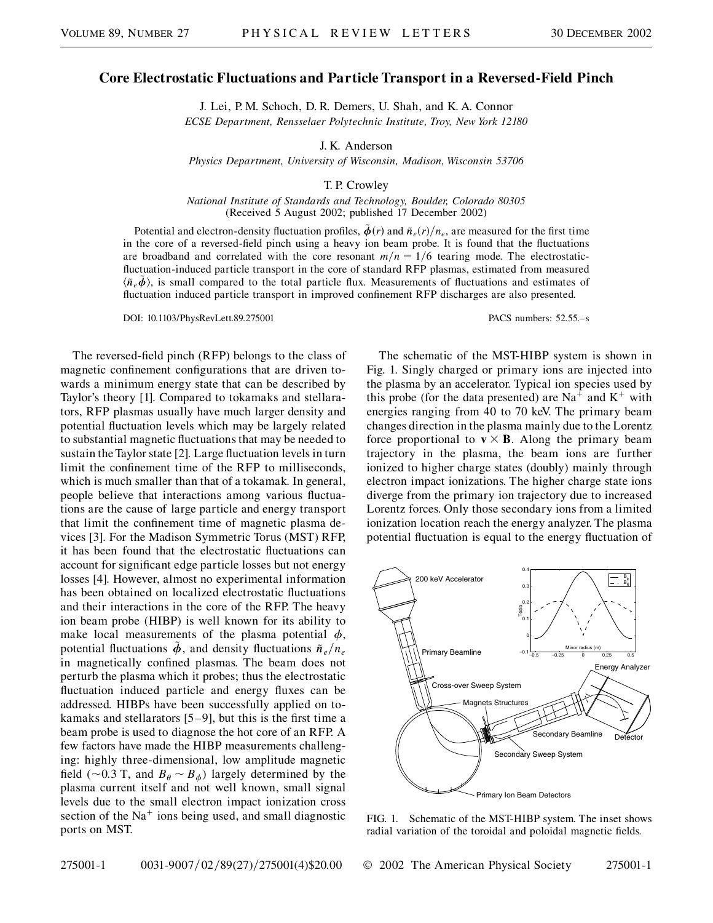## **Core Electrostatic Fluctuations and Particle Transport in a Reversed-Field Pinch**

J. Lei, P. M. Schoch, D. R. Demers, U. Shah, and K. A. Connor *ECSE Department, Rensselaer Polytechnic Institute, Troy, New York 12180*

J. K. Anderson

*Physics Department, University of Wisconsin, Madison, Wisconsin 53706*

T. P. Crowley

*National Institute of Standards and Technology, Boulder, Colorado 80305* (Received 5 August 2002; published 17 December 2002)

Potential and electron-density fluctuation profiles,  $\tilde{\phi}(r)$  and  $\tilde{n}_e(r)/n_e$ , are measured for the first time in the core of a reversed-field pinch using a heavy ion beam probe. It is found that the fluctuations are broadband and correlated with the core resonant  $m/n = 1/6$  tearing mode. The electrostaticfluctuation-induced particle transport in the core of standard RFP plasmas, estimated from measured  $\langle \tilde{n}_e \phi \rangle$ , is small compared to the total particle flux. Measurements of fluctuations and estimates of fluctuation induced particle transport in improved confinement RFP discharges are also presented.

DOI: 10.1103/PhysRevLett.89.275001 PACS numbers: 52.55.–s

The reversed-field pinch (RFP) belongs to the class of magnetic confinement configurations that are driven towards a minimum energy state that can be described by Taylor's theory [1]. Compared to tokamaks and stellarators, RFP plasmas usually have much larger density and potential fluctuation levels which may be largely related to substantial magnetic fluctuations that may be needed to sustain the Taylor state [2]. Large fluctuation levels in turn limit the confinement time of the RFP to milliseconds, which is much smaller than that of a tokamak. In general, people believe that interactions among various fluctuations are the cause of large particle and energy transport that limit the confinement time of magnetic plasma devices [3]. For the Madison Symmetric Torus (MST) RFP, it has been found that the electrostatic fluctuations can account for significant edge particle losses but not energy losses [4]. However, almost no experimental information has been obtained on localized electrostatic fluctuations and their interactions in the core of the RFP. The heavy ion beam probe (HIBP) is well known for its ability to make local measurements of the plasma potential  $\phi$ , potential fluctuations  $\ddot{\phi}$ , and density fluctuations  $\ddot{n}_e/n_e$ in magnetically confined plasmas. The beam does not perturb the plasma which it probes; thus the electrostatic fluctuation induced particle and energy fluxes can be addressed. HIBPs have been successfully applied on tokamaks and stellarators [5–9], but this is the first time a beam probe is used to diagnose the hot core of an RFP. A few factors have made the HIBP measurements challenging: highly three-dimensional, low amplitude magnetic field ( $\sim$ 0.3 T, and  $B_\theta \sim B_\phi$ ) largely determined by the plasma current itself and not well known, small signal levels due to the small electron impact ionization cross section of the  $Na<sup>+</sup>$  ions being used, and small diagnostic ports on MST.

The schematic of the MST-HIBP system is shown in Fig. 1. Singly charged or primary ions are injected into the plasma by an accelerator. Typical ion species used by this probe (for the data presented) are  $Na<sup>+</sup>$  and  $K<sup>+</sup>$  with energies ranging from 40 to 70 keV. The primary beam changes direction in the plasma mainly due to the Lorentz force proportional to  $v \times B$ . Along the primary beam trajectory in the plasma, the beam ions are further ionized to higher charge states (doubly) mainly through electron impact ionizations. The higher charge state ions diverge from the primary ion trajectory due to increased Lorentz forces. Only those secondary ions from a limited ionization location reach the energy analyzer. The plasma potential fluctuation is equal to the energy fluctuation of



FIG. 1. Schematic of the MST-HIBP system. The inset shows radial variation of the toroidal and poloidal magnetic fields.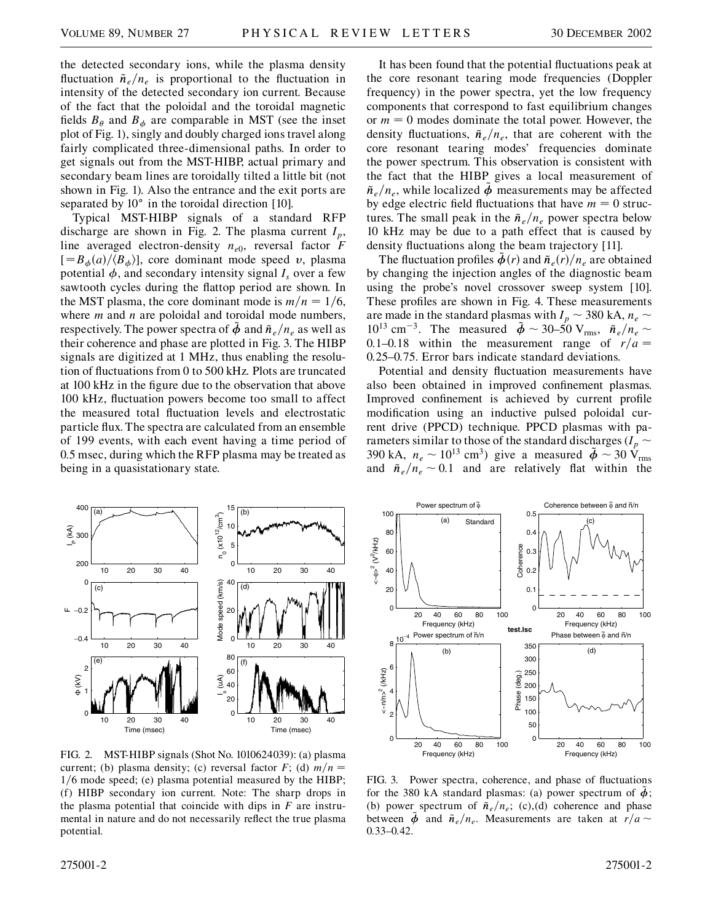the detected secondary ions, while the plasma density fluctuation  $\tilde{n}_e/n_e$  is proportional to the fluctuation in intensity of the detected secondary ion current. Because of the fact that the poloidal and the toroidal magnetic fields  $B_{\theta}$  and  $B_{\phi}$  are comparable in MST (see the inset plot of Fig. 1), singly and doubly charged ions travel along fairly complicated three-dimensional paths. In order to get signals out from the MST-HIBP, actual primary and secondary beam lines are toroidally tilted a little bit (not shown in Fig. 1). Also the entrance and the exit ports are separated by  $10^{\circ}$  in the toroidal direction [10].

Typical MST-HIBP signals of a standard RFP discharge are shown in Fig. 2. The plasma current  $I_p$ , line averaged electron-density  $n_{e0}$ , reversal factor *F*  $[=B_{\phi}(a)/\langle B_{\phi}\rangle]$ , core dominant mode speed *v*, plasma potential  $\phi$ , and secondary intensity signal  $I_s$  over a few sawtooth cycles during the flattop period are shown. In the MST plasma, the core dominant mode is  $m/n = 1/6$ , where *m* and *n* are poloidal and toroidal mode numbers, respectively. The power spectra of  $\phi$  and  $\tilde{n}_{e}/n_{e}$  as well as their coherence and phase are plotted in Fig. 3. The HIBP signals are digitized at 1 MHz, thus enabling the resolution of fluctuations from 0 to 500 kHz. Plots are truncated at 100 kHz in the figure due to the observation that above 100 kHz, fluctuation powers become too small to affect the measured total fluctuation levels and electrostatic particle flux. The spectra are calculated from an ensemble of 199 events, with each event having a time period of 0.5 msec, during which the RFP plasma may be treated as being in a quasistationary state.

It has been found that the potential fluctuations peak at the core resonant tearing mode frequencies (Doppler frequency) in the power spectra, yet the low frequency components that correspond to fast equilibrium changes or  $m = 0$  modes dominate the total power. However, the density fluctuations,  $\tilde{n}_{e}/n_{e}$ , that are coherent with the core resonant tearing modes' frequencies dominate the power spectrum. This observation is consistent with the fact that the HIBP gives a local measurement of  $\tilde{n}_e/n_e$ , while localized  $\phi$  measurements may be affected by edge electric field fluctuations that have  $m = 0$  structures. The small peak in the  $\tilde{n}_e/n_e$  power spectra below 10 kHz may be due to a path effect that is caused by density fluctuations along the beam trajectory [11].

The fluctuation profiles  $\tilde{\phi}(r)$  and  $\tilde{n}_e(r)/n_e$  are obtained by changing the injection angles of the diagnostic beam using the probe's novel crossover sweep system [10]. These profiles are shown in Fig. 4. These measurements are made in the standard plasmas with  $I_p \sim 380$  kA,  $n_e \sim$  $10^{13}$  cm<sup>-3</sup>. The measured  $\tilde{\phi} \sim 30-50$  V<sub>rms</sub>,  $\tilde{n}_e/n_e \sim$ 0.1–0.18 within the measurement range of  $r/a =$ 0*:*25–0*:*75. Error bars indicate standard deviations.

Potential and density fluctuation measurements have also been obtained in improved confinement plasmas. Improved confinement is achieved by current profile modification using an inductive pulsed poloidal current drive (PPCD) technique. PPCD plasmas with parameters similar to those of the standard discharges ( $I_p \sim$ 390 kA,  $n_e \sim 10^{13}$  cm<sup>3</sup>) give a measured  $\tilde{\phi} \sim 30$   $\tilde{V}_{rms}$ and  $\tilde{n}_e/n_e \sim 0.1$  and are relatively flat within the



Power spectrum of  $\tilde{φ}$ Coherence between  $\widetilde{\phi}$  and  $\widetilde{\mathsf{n}}/\mathsf{n}$ 100  $0.5$ (a) Standard (c) 80  $\Omega$ . <~φ>2 (V2/kHz) :~φ><sup>2</sup> (V<sup>2</sup>/kHz) **Coherence** Coherence 60  $0.3$ 40  $0.2$ 20  $0.1$  $0$  20 40 60 80 100 0 Frequency (kHz) Frequency (kHz) **test.lsc Phase between**  $\tilde{\phi}$  and ñ/n Power spectrum of  $\tilde{n}/n$  $10^{-4}$ 8 350 (d) (b) 300 6  $\left\langle -n/n \right\rangle^2$  (KHz)  $\leftarrow$ n/n $\right)^2$  (/kHz) 250 Phase (deg.) 200 4 Phase 150 100 2 50  $0$  20 40 60 80 100 0 Frequency (kHz) Frequency (kHz)

FIG. 2. MST-HIBP signals (Shot No. 1010624039): (a) plasma current; (b) plasma density; (c) reversal factor  $F$ ; (d)  $m/n =$ 1/6 mode speed; (e) plasma potential measured by the HIBP; (f) HIBP secondary ion current. Note: The sharp drops in the plasma potential that coincide with dips in *F* are instrumental in nature and do not necessarily reflect the true plasma potential.

FIG. 3. Power spectra, coherence, and phase of fluctuations for the 380 kA standard plasmas: (a) power spectrum of  $\ddot{\phi}$ ; (b) power spectrum of  $\tilde{n}_e/n_e$ ; (c),(d) coherence and phase between  $\tilde{\phi}$  and  $\tilde{n}_e/n_e$ . Measurements are taken at  $r/a \sim$ 0*:*33–0*:*42.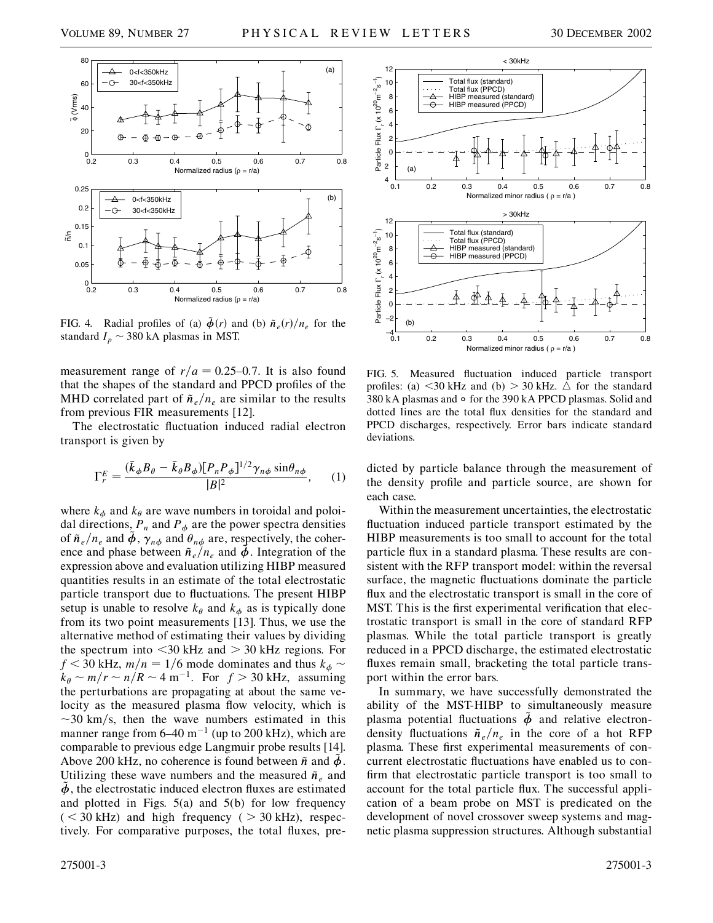



FIG. 4. Radial profiles of (a)  $\tilde{\phi}(r)$  and (b)  $\tilde{n}_e(r)/n_e$  for the standard  $I_p \sim 380$  kA plasmas in MST.

measurement range of  $r/a = 0.25{\text -}0.7$ . It is also found that the shapes of the standard and PPCD profiles of the MHD correlated part of  $\tilde{n}_e/n_e$  are similar to the results from previous FIR measurements [12].

The electrostatic fluctuation induced radial electron transport is given by

$$
\Gamma_r^E = \frac{(\bar{k}_{\phi}B_{\theta} - \bar{k}_{\theta}B_{\phi})[P_n P_{\phi}]^{1/2} \gamma_{n\phi} \sin \theta_{n\phi}}{|B|^2}, \qquad (1)
$$

where  $k_{\phi}$  and  $k_{\theta}$  are wave numbers in toroidal and poloidal directions,  $P_n$  and  $P_{\phi}$  are the power spectra densities of  $\tilde{n}_e/n_e$  and  $\tilde{\phi}$ ,  $\gamma_{n\phi}$  and  $\theta_{n\phi}$  are, respectively, the coherence and phase between  $\tilde{n}_e/n_e$  and  $\tilde{\phi}$ . Integration of the expression above and evaluation utilizing HIBP measured quantities results in an estimate of the total electrostatic particle transport due to fluctuations. The present HIBP setup is unable to resolve  $k_{\theta}$  and  $k_{\phi}$  as is typically done from its two point measurements [13]. Thus, we use the alternative method of estimating their values by dividing the spectrum into *<*30 kHz and *>* 30 kHz regions. For  $f$  < 30 kHz,  $m/n = 1/6$  mode dominates and thus  $k_{\phi}$  ~  $k_{\theta} \sim m/r \sim n/R \sim 4 \text{ m}^{-1}$ . For  $f > 30 \text{ kHz}$ , assuming the perturbations are propagating at about the same velocity as the measured plasma flow velocity, which is  $\sim$ 30 km/s, then the wave numbers estimated in this manner range from  $6-40$  m<sup>-1</sup> (up to 200 kHz), which are comparable to previous edge Langmuir probe results [14]. Above 200 kHz, no coherence is found between  $\tilde{n}$  and  $\tilde{\phi}$ . Utilizing these wave numbers and the measured  $\tilde{n}_e$  and  $\ddot{\phi}$ , the electrostatic induced electron fluxes are estimated and plotted in Figs. 5(a) and 5(b) for low frequency  $(<$  30 kHz) and high frequency ( $>$  30 kHz), respectively. For comparative purposes, the total fluxes, pre-



FIG. 5. Measured fluctuation induced particle transport profiles: (a)  $\leq$ 30 kHz and (b)  $>$  30 kHz.  $\triangle$  for the standard 380 kA plasmas and  $\circ$  for the 390 kA PPCD plasmas. Solid and dotted lines are the total flux densities for the standard and PPCD discharges, respectively. Error bars indicate standard deviations.

dicted by particle balance through the measurement of the density profile and particle source, are shown for each case.

Within the measurement uncertainties, the electrostatic fluctuation induced particle transport estimated by the HIBP measurements is too small to account for the total particle flux in a standard plasma. These results are consistent with the RFP transport model: within the reversal surface, the magnetic fluctuations dominate the particle flux and the electrostatic transport is small in the core of MST. This is the first experimental verification that electrostatic transport is small in the core of standard RFP plasmas. While the total particle transport is greatly reduced in a PPCD discharge, the estimated electrostatic fluxes remain small, bracketing the total particle transport within the error bars.

In summary, we have successfully demonstrated the ability of the MST-HIBP to simultaneously measure plasma potential fluctuations  $\tilde{\phi}$  and relative electrondensity fluctuations  $\tilde{n}_e/n_e$  in the core of a hot RFP plasma. These first experimental measurements of concurrent electrostatic fluctuations have enabled us to confirm that electrostatic particle transport is too small to account for the total particle flux. The successful application of a beam probe on MST is predicated on the development of novel crossover sweep systems and magnetic plasma suppression structures. Although substantial